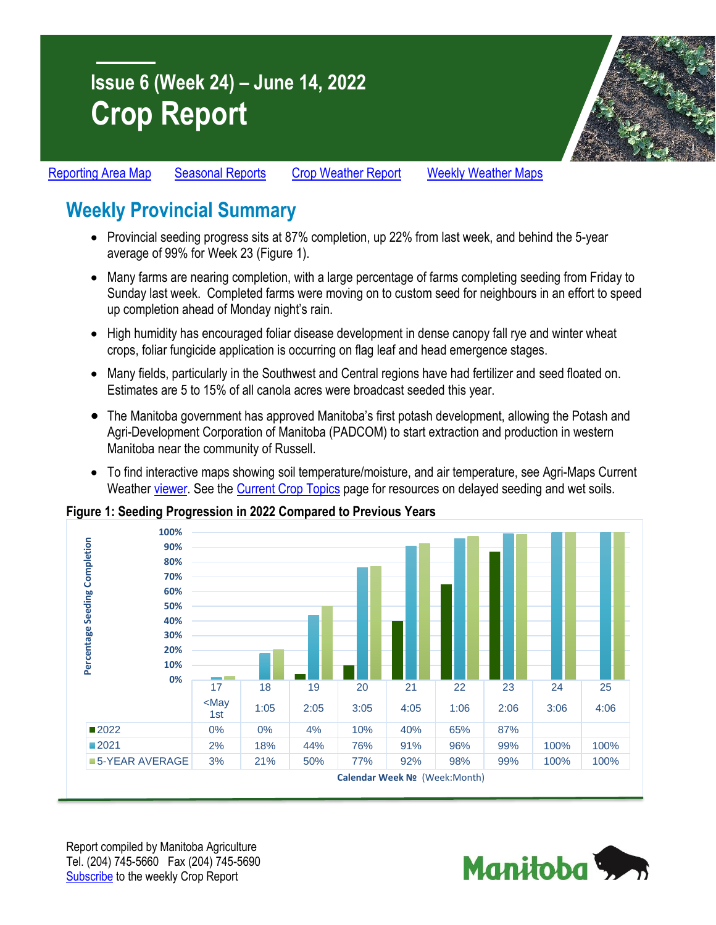# **Issue 6 (Week 24) – June 14, 2022 Crop Report**



[Reporting Area Map](https://www.gov.mb.ca/agriculture/crops/seasonal-reports/pubs/crop-report-map.pdf) [Seasonal Reports](https://www.gov.mb.ca/agriculture/crops/seasonal-reports/index.html) [Crop Weather Report](https://www.gov.mb.ca/agriculture/weather/weather-report-archive.html) [Weekly Weather Maps](https://www.gov.mb.ca/agriculture/weather/weather-conditions-and-reports.html)

## **Weekly Provincial Summary**

- Provincial seeding progress sits at 87% completion, up 22% from last week, and behind the 5-year average of 99% for Week 23 (Figure 1).
- Many farms are nearing completion, with a large percentage of farms completing seeding from Friday to Sunday last week. Completed farms were moving on to custom seed for neighbours in an effort to speed up completion ahead of Monday night's rain.
- High humidity has encouraged foliar disease development in dense canopy fall rye and winter wheat crops, foliar fungicide application is occurring on flag leaf and head emergence stages.
- Many fields, particularly in the Southwest and Central regions have had fertilizer and seed floated on. Estimates are 5 to 15% of all canola acres were broadcast seeded this year.
- The Manitoba government has approved Manitoba's first potash development, allowing the Potash and Agri-Development Corporation of Manitoba (PADCOM) to start extraction and production in western Manitoba near the community of Russell.
- To find interactive maps showing soil temperature/moisture, and air temperature, see Agri-Maps Current Weather [viewer.](https://www.gov.mb.ca/agriculture/weather/current-weather-viewer.html) See the [Current Crop Topics](https://gov.mb.ca/agriculture/crops/seasonal-reports/current-crop-topics.html) page for resources on delayed seeding and wet soils.

**Figure 1: Seeding Progression in 2022 Compared to Previous Years**



Report compiled by Manitoba Agriculture Tel. (204) 745-5660 Fax (204) 745-5690 [Subscribe](https://www.gov.mb.ca/agriculture/crops/seasonal-reports/crop-report-archive/) to the weekly Crop Report

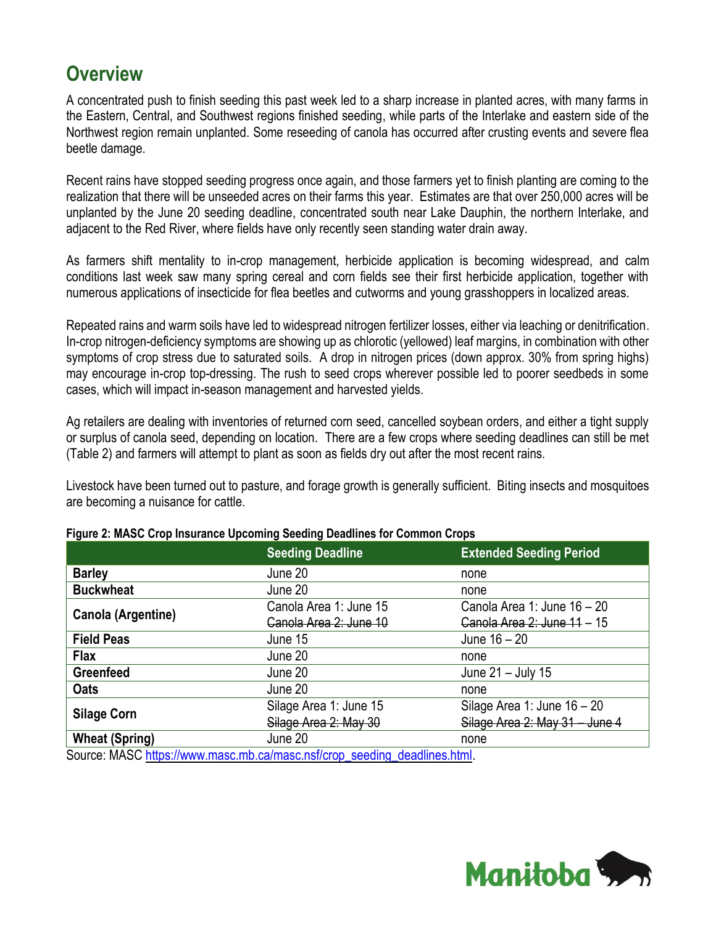### **Overview**

A concentrated push to finish seeding this past week led to a sharp increase in planted acres, with many farms in the Eastern, Central, and Southwest regions finished seeding, while parts of the Interlake and eastern side of the Northwest region remain unplanted. Some reseeding of canola has occurred after crusting events and severe flea beetle damage.

Recent rains have stopped seeding progress once again, and those farmers yet to finish planting are coming to the realization that there will be unseeded acres on their farms this year. Estimates are that over 250,000 acres will be unplanted by the June 20 seeding deadline, concentrated south near Lake Dauphin, the northern Interlake, and adjacent to the Red River, where fields have only recently seen standing water drain away.

As farmers shift mentality to in-crop management, herbicide application is becoming widespread, and calm conditions last week saw many spring cereal and corn fields see their first herbicide application, together with numerous applications of insecticide for flea beetles and cutworms and young grasshoppers in localized areas.

Repeated rains and warm soils have led to widespread nitrogen fertilizer losses, either via leaching or denitrification. In-crop nitrogen-deficiency symptoms are showing up as chlorotic (yellowed) leaf margins, in combination with other symptoms of crop stress due to saturated soils. A drop in nitrogen prices (down approx. 30% from spring highs) may encourage in-crop top-dressing. The rush to seed crops wherever possible led to poorer seedbeds in some cases, which will impact in-season management and harvested yields.

Ag retailers are dealing with inventories of returned corn seed, cancelled soybean orders, and either a tight supply or surplus of canola seed, depending on location. There are a few crops where seeding deadlines can still be met (Table 2) and farmers will attempt to plant as soon as fields dry out after the most recent rains.

Livestock have been turned out to pasture, and forage growth is generally sufficient. Biting insects and mosquitoes are becoming a nuisance for cattle.

|                           | <b>Seeding Deadline</b><br><b>Extended Seeding Period</b>                 |                                |  |
|---------------------------|---------------------------------------------------------------------------|--------------------------------|--|
| <b>Barley</b>             | June 20                                                                   | none                           |  |
| <b>Buckwheat</b>          | June 20                                                                   | none                           |  |
|                           | Canola Area 1: June 15                                                    | Canola Area 1: June 16 - 20    |  |
| <b>Canola (Argentine)</b> | Canola Area 2: June 10                                                    | Canola Area 2: June 11 - 15    |  |
| <b>Field Peas</b>         | June 15                                                                   | June $16 - 20$                 |  |
| <b>Flax</b>               | June 20                                                                   | none                           |  |
| Greenfeed                 | June 20                                                                   | June 21 - July 15              |  |
| <b>Oats</b>               | June 20                                                                   | none                           |  |
| <b>Silage Corn</b>        | Silage Area 1: June 15                                                    | Silage Area 1: June $16 - 20$  |  |
|                           | Silage Area 2: May 30                                                     | Silage Area 2: May 31 - June 4 |  |
| <b>Wheat (Spring)</b>     | June 20                                                                   | none                           |  |
|                           | Source: MASC https://www.masc.mb.ca/masc.nsf/crop_seeding_deadlines.html. |                                |  |

|  | Figure 2: MASC Crop Insurance Upcoming Seeding Deadlines for Common Crops |  |  |  |
|--|---------------------------------------------------------------------------|--|--|--|
|  |                                                                           |  |  |  |

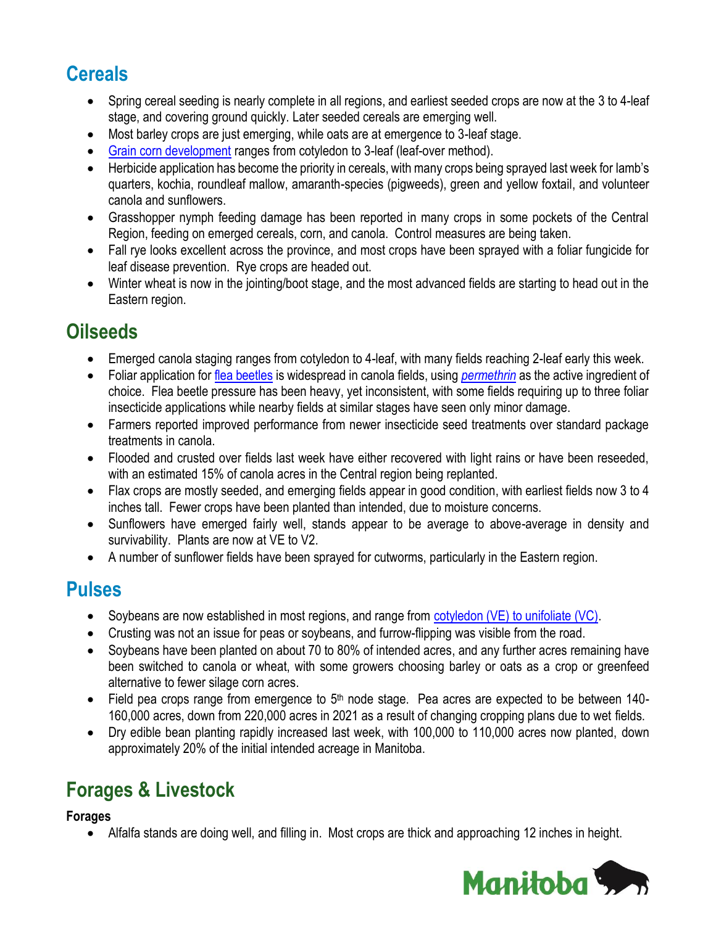# **Cereals**

- Spring cereal seeding is nearly complete in all regions, and earliest seeded crops are now at the 3 to 4-leaf stage, and covering ground quickly. Later seeded cereals are emerging well.
- Most barley crops are just emerging, while oats are at emergence to 3-leaf stage.
- [Grain corn development](https://www.gov.mb.ca/agriculture/crops/seasonal-reports/pubs/staging-corn.pdf) ranges from cotyledon to 3-leaf (leaf-over method).
- Herbicide application has become the priority in cereals, with many crops being sprayed last week for lamb's quarters, kochia, roundleaf mallow, amaranth-species (pigweeds), green and yellow foxtail, and volunteer canola and sunflowers.
- Grasshopper nymph feeding damage has been reported in many crops in some pockets of the Central Region, feeding on emerged cereals, corn, and canola. Control measures are being taken.
- Fall rye looks excellent across the province, and most crops have been sprayed with a foliar fungicide for leaf disease prevention. Rye crops are headed out.
- Winter wheat is now in the jointing/boot stage, and the most advanced fields are starting to head out in the Eastern region.

## **Oilseeds**

- Emerged canola staging ranges from cotyledon to 4-leaf, with many fields reaching 2-leaf early this week.
- Foliar application for [flea beetles](https://www.gov.mb.ca/agriculture/crops/insects/flea-beetles-canola-mustard.html) is widespread in canola fields, using *[permethrin](https://www.manitoba.ca/agriculture/crops/guides-and-publications/pubs/insect-guide-crop-protection-2022.pdf)* as the active ingredient of choice. Flea beetle pressure has been heavy, yet inconsistent, with some fields requiring up to three foliar insecticide applications while nearby fields at similar stages have seen only minor damage.
- Farmers reported improved performance from newer insecticide seed treatments over standard package treatments in canola.
- Flooded and crusted over fields last week have either recovered with light rains or have been reseeded, with an estimated 15% of canola acres in the Central region being replanted.
- Flax crops are mostly seeded, and emerging fields appear in good condition, with earliest fields now 3 to 4 inches tall. Fewer crops have been planted than intended, due to moisture concerns.
- Sunflowers have emerged fairly well, stands appear to be average to above-average in density and survivability. Plants are now at VE to V2.
- A number of sunflower fields have been sprayed for cutworms, particularly in the Eastern region.

### **Pulses**

- Soybeans are now established in most regions, and range from [cotyledon \(VE\) to unifoliate \(VC\).](https://www.manitobapulse.ca/wp-content/uploads/2015/03/Soybean-GROWTH-STAGING-Guide_June-2018_WR.pdf)
- Crusting was not an issue for peas or soybeans, and furrow-flipping was visible from the road.
- Soybeans have been planted on about 70 to 80% of intended acres, and any further acres remaining have been switched to canola or wheat, with some growers choosing barley or oats as a crop or greenfeed alternative to fewer silage corn acres.
- Field pea crops range from emergence to  $5<sup>th</sup>$  node stage. Pea acres are expected to be between 140-160,000 acres, down from 220,000 acres in 2021 as a result of changing cropping plans due to wet fields.
- Dry edible bean planting rapidly increased last week, with 100,000 to 110,000 acres now planted, down approximately 20% of the initial intended acreage in Manitoba.

# **Forages & Livestock**

**Forages**

Alfalfa stands are doing well, and filling in. Most crops are thick and approaching 12 inches in height.

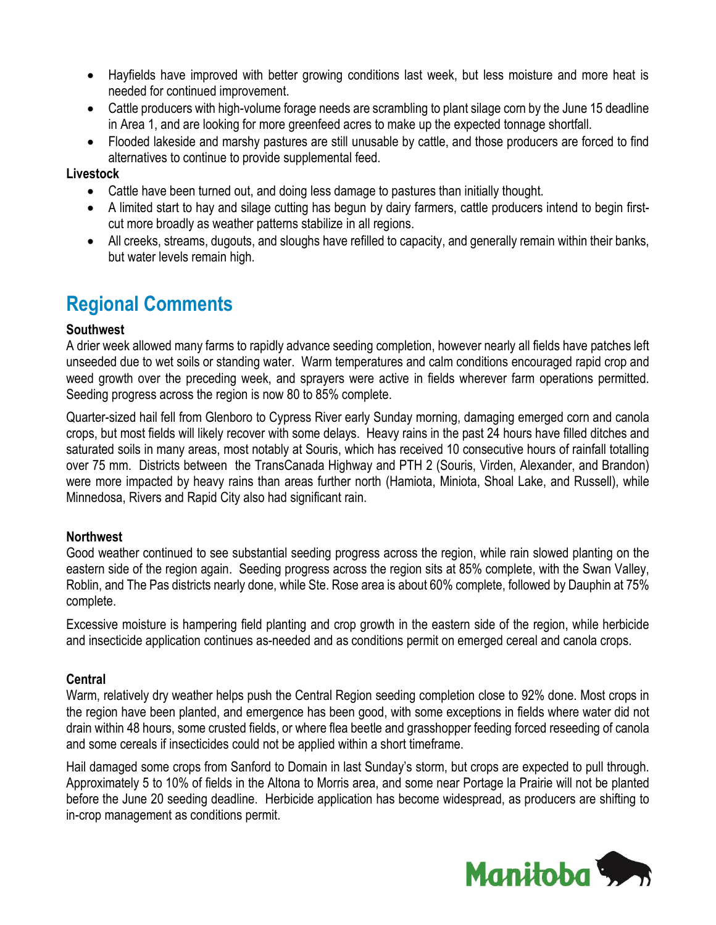- Hayfields have improved with better growing conditions last week, but less moisture and more heat is needed for continued improvement.
- Cattle producers with high-volume forage needs are scrambling to plant silage corn by the June 15 deadline in Area 1, and are looking for more greenfeed acres to make up the expected tonnage shortfall.
- Flooded lakeside and marshy pastures are still unusable by cattle, and those producers are forced to find alternatives to continue to provide supplemental feed.

#### **Livestock**

- Cattle have been turned out, and doing less damage to pastures than initially thought.
- A limited start to hay and silage cutting has begun by dairy farmers, cattle producers intend to begin firstcut more broadly as weather patterns stabilize in all regions.
- All creeks, streams, dugouts, and sloughs have refilled to capacity, and generally remain within their banks, but water levels remain high.

### **Regional Comments**

#### **Southwest**

A drier week allowed many farms to rapidly advance seeding completion, however nearly all fields have patches left unseeded due to wet soils or standing water. Warm temperatures and calm conditions encouraged rapid crop and weed growth over the preceding week, and sprayers were active in fields wherever farm operations permitted. Seeding progress across the region is now 80 to 85% complete.

Quarter-sized hail fell from Glenboro to Cypress River early Sunday morning, damaging emerged corn and canola crops, but most fields will likely recover with some delays. Heavy rains in the past 24 hours have filled ditches and saturated soils in many areas, most notably at Souris, which has received 10 consecutive hours of rainfall totalling over 75 mm. Districts between the TransCanada Highway and PTH 2 (Souris, Virden, Alexander, and Brandon) were more impacted by heavy rains than areas further north (Hamiota, Miniota, Shoal Lake, and Russell), while Minnedosa, Rivers and Rapid City also had significant rain.

#### **Northwest**

Good weather continued to see substantial seeding progress across the region, while rain slowed planting on the eastern side of the region again. Seeding progress across the region sits at 85% complete, with the Swan Valley, Roblin, and The Pas districts nearly done, while Ste. Rose area is about 60% complete, followed by Dauphin at 75% complete.

Excessive moisture is hampering field planting and crop growth in the eastern side of the region, while herbicide and insecticide application continues as-needed and as conditions permit on emerged cereal and canola crops.

#### **Central**

Warm, relatively dry weather helps push the Central Region seeding completion close to 92% done. Most crops in the region have been planted, and emergence has been good, with some exceptions in fields where water did not drain within 48 hours, some crusted fields, or where flea beetle and grasshopper feeding forced reseeding of canola and some cereals if insecticides could not be applied within a short timeframe.

Hail damaged some crops from Sanford to Domain in last Sunday's storm, but crops are expected to pull through. Approximately 5 to 10% of fields in the Altona to Morris area, and some near Portage la Prairie will not be planted before the June 20 seeding deadline. Herbicide application has become widespread, as producers are shifting to in-crop management as conditions permit.